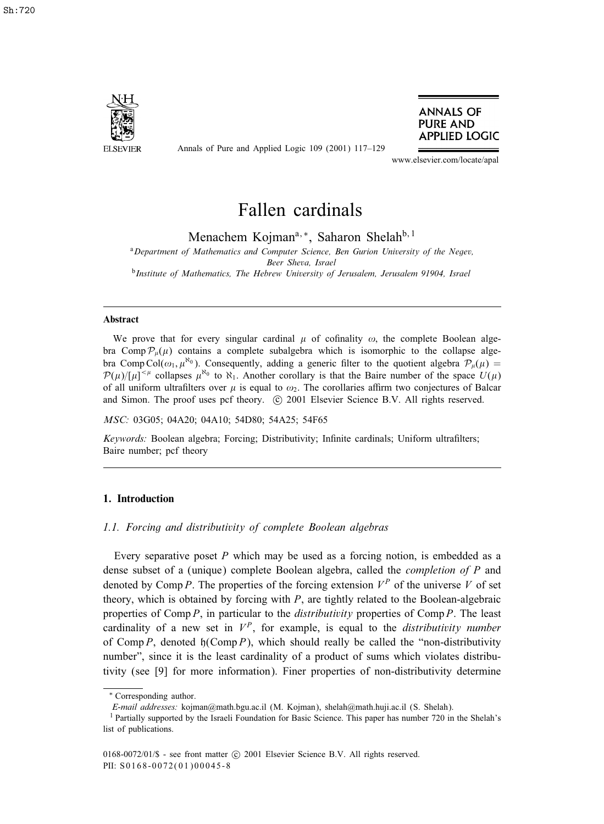

Annals of Pure and Applied Logic 109 (2001) 117–129



www.elsevier.com/locate/apal

# Fallen cardinals

Menachem Kojman<sup>a, ∗</sup>, Saharon Shelah<sup>b, 1</sup>

<sup>a</sup>*Department of Mathematics and Computer Science, Ben Gurion University of the Negev, Beer Sheva, Israel* <sup>b</sup>*Institute of Mathematics, The Hebrew University of Jerusalem, Jerusalem 91904, Israel*

## Abstract

We prove that for every singular cardinal  $\mu$  of cofinality  $\omega$ , the complete Boolean algebra Comp  $\mathcal{P}_{\mu}(\mu)$  contains a complete subalgebra which is isomorphic to the collapse algebra Comp Col $(\omega_1, \mu^{\kappa_0})$ . Consequently, adding a generic filter to the quotient algebra  $\mathcal{P}_{\mu}(\mu)$  =  $\mathcal{P}(\mu)/[\mu]^{<\mu}$  collapses  $\mu^{\aleph_0}$  to  $\aleph_1$ . Another corollary is that the Baire number of the space  $U(\mu)$ of all uniform ultrafilters over  $\mu$  is equal to  $\omega_2$ . The corollaries affirm two conjectures of Balcar and Simon. The proof uses pcf theory. (c) 2001 Elsevier Science B.V. All rights reserved.

*MSC:* 03G05; 04A20; 04A10; 54D80; 54A25; 54F65

*Keywords:* Boolean algebra; Forcing; Distributivity; Infinite cardinals; Uniform ultrafilters; Baire number; pcf theory

## 1. Introduction

## *1.1. Forcing and distributivity of complete Boolean algebras*

Every separative poset  $P$  which may be used as a forcing notion, is embedded as a dense subset of a (unique) complete Boolean algebra, called the *completion of* P and denoted by Comp P. The properties of the forcing extension  $V^P$  of the universe V of set theory, which is obtained by forcing with  $P$ , are tightly related to the Boolean-algebraic properties of Comp P, in particular to the *distributivity* properties of Comp P. The least cardinality of a new set in  $V^P$ , for example, is equal to the *distributivity number* of Comp P, denoted  $\mathfrak{h}(\text{Comp }P)$ , which should really be called the "non-distributivity number", since it is the least cardinality of a product of sums which violates distributivity (see [9] for more information). Finer properties of non-distributivity determine

<sup>∗</sup> Corresponding author.

*E-mail addresses:* kojman@math.bgu.ac.il (M. Kojman), shelah@math.huji.ac.il (S. Shelah).

<sup>1</sup> Partially supported by the Israeli Foundation for Basic Science. This paper has number 720 in the Shelah's list of publications.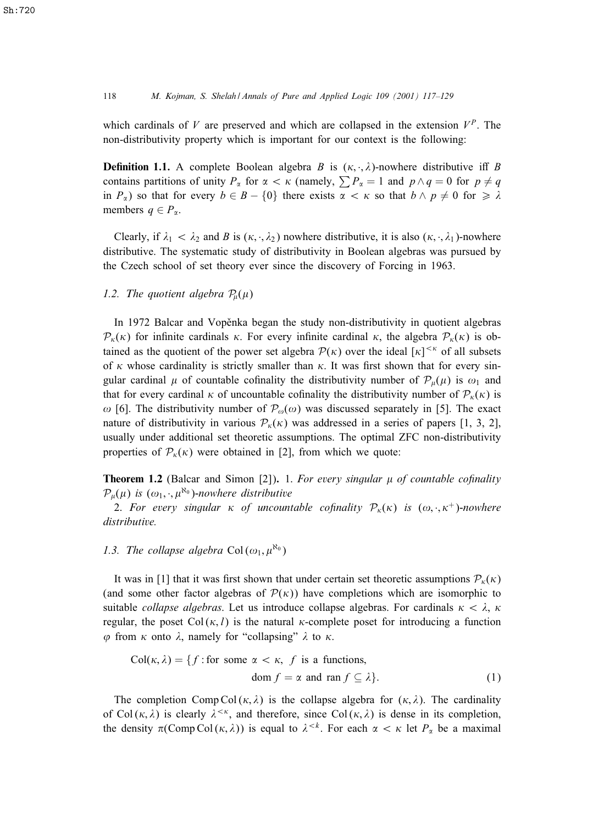which cardinals of V are preserved and which are collapsed in the extension  $V^P$ . The non-distributivity property which is important for our context is the following:

**Definition 1.1.** A complete Boolean algebra B is  $(\kappa, \cdot, \lambda)$ -nowhere distributive iff B contains partitions of unity  $P_{\alpha}$  for  $\alpha < \kappa$  (namely,  $\sum P_{\alpha} = 1$  and  $p \wedge q = 0$  for  $p \neq q$ in  $P_{\alpha}$ ) so that for every  $b \in B - \{0\}$  there exists  $\alpha < \kappa$  so that  $b \wedge p \neq 0$  for  $\geq \lambda$ members  $q \in P_{\alpha}$ .

Clearly, if  $\lambda_1 < \lambda_2$  and B is  $(\kappa, \cdot, \lambda_2)$  nowhere distributive, it is also  $(\kappa, \cdot, \lambda_1)$ -nowhere distributive. The systematic study of distributivity in Boolean algebras was pursued by the Czech school of set theory ever since the discovery of Forcing in 1963.

## 1.2. The quotient algebra  $P_\mu(\mu)$

In 1972 Balcar and Vopěnka began the study non-distributivity in quotient algebras  $\mathcal{P}_{k}(\kappa)$  for infinite cardinals  $\kappa$ . For every infinite cardinal  $\kappa$ , the algebra  $\mathcal{P}_{k}(\kappa)$  is obtained as the quotient of the power set algebra  $\mathcal{P}(\kappa)$  over the ideal  $[\kappa]^{<\kappa}$  of all subsets of  $\kappa$  whose cardinality is strictly smaller than  $\kappa$ . It was first shown that for every singular cardinal  $\mu$  of countable cofinality the distributivity number of  $\mathcal{P}_{\mu}(\mu)$  is  $\omega_1$  and that for every cardinal  $\kappa$  of uncountable cofinality the distributivity number of  $\mathcal{P}_{\kappa}(\kappa)$  is  $\omega$  [6]. The distributivity number of  $\mathcal{P}_{\omega}(\omega)$  was discussed separately in [5]. The exact nature of distributivity in various  $P_k(\kappa)$  was addressed in a series of papers [1, 3, 2], usually under additional set theoretic assumptions. The optimal ZFC non-distributivity properties of  $\mathcal{P}_{\kappa}(\kappa)$  were obtained in [2], from which we quote:

**Theorem 1.2** (Balcar and Simon [2]). 1. For every singular  $\mu$  of countable cofinality  $\mathcal{P}_{\mu}(\mu)$  is  $(\omega_1, \cdot, \mu^{\aleph_0})$ -nowhere distributive

2. For every singular  $\kappa$  of uncountable cofinality  $\mathcal{P}_{\kappa}(\kappa)$  is  $(\omega, \cdot, \kappa^+)$ -nowhere *distributive.*

## 1.3. The collapse algebra  $Col(\omega_1, \mu^{\aleph_0})$

It was in [1] that it was first shown that under certain set theoretic assumptions  $P_{\kappa}(\kappa)$ (and some other factor algebras of  $\mathcal{P}(\kappa)$ ) have completions which are isomorphic to suitable *collapse algebras*. Let us introduce collapse algebras. For cardinals  $\kappa < \lambda$ ,  $\kappa$ regular, the poset  $Col(\kappa, l)$  is the natural  $\kappa$ -complete poset for introducing a function  $\varphi$  from  $\kappa$  onto  $\lambda$ , namely for "collapsing"  $\lambda$  to  $\kappa$ .

$$
Col(\kappa, \lambda) = \{ f : \text{for some } \alpha < \kappa, \ f \text{ is a functions,}
$$
\n
$$
\text{dom } f = \alpha \text{ and } \text{ran } f \subseteq \lambda \}. \tag{1}
$$

The completion Comp Col( $\kappa$ ,  $\lambda$ ) is the collapse algebra for ( $\kappa$ ,  $\lambda$ ). The cardinality of Col( $\kappa$ ,  $\lambda$ ) is clearly  $\lambda^{\leq \kappa}$ , and therefore, since Col( $\kappa$ ,  $\lambda$ ) is dense in its completion, the density  $\pi(\text{Comp Col}(\kappa, \lambda))$  is equal to  $\lambda^{< k}$ . For each  $\alpha < \kappa$  let  $P_{\alpha}$  be a maximal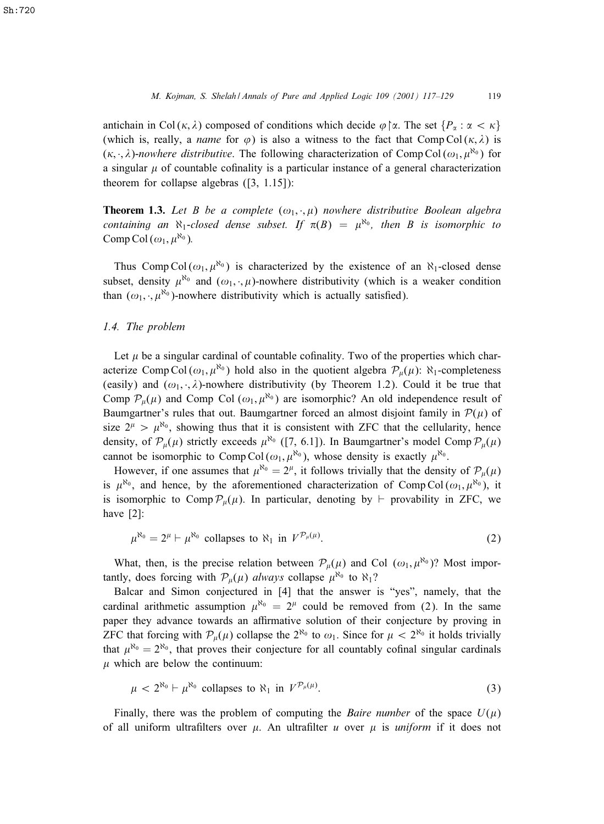antichain in Col( $\kappa$ ,  $\lambda$ ) composed of conditions which decide  $\varphi$   $\upharpoonright \alpha$ . The set  $\{P_{\alpha} : \alpha < \kappa\}$ (which is, really, a *name* for  $\varphi$ ) is also a witness to the fact that Comp Col( $\kappa$ ,  $\lambda$ ) is  $(\kappa, \cdot, \lambda)$ -nowhere distributive. The following characterization of Comp Col $(\omega_1, \mu^{\aleph_0})$  for a singular  $\mu$  of countable cofinality is a particular instance of a general characterization theorem for collapse algebras ([3, 1.15]):

**Theorem 1.3.** Let B be a complete  $(\omega_1, \cdot, \mu)$  nowhere distributive Boolean algebra *containing an*  $\aleph_1$ -closed dense subset. If  $\pi(B) = \mu^{\aleph_0}$ , then B is isomorphic to Comp Col  $(\omega_1, \mu^{\aleph_0})$ .

Thus Comp Col  $(\omega_1, \mu^{\aleph_0})$  is characterized by the existence of an  $\aleph_1$ -closed dense subset, density  $\mu^{\aleph_0}$  and  $(\omega_1, \cdot, \mu)$ -nowhere distributivity (which is a weaker condition than  $(\omega_1, \cdot, \mu^{\aleph_0})$ -nowhere distributivity which is actually satisfied).

## *1.4. The problem*

Let  $\mu$  be a singular cardinal of countable cofinality. Two of the properties which characterize Comp Col $(\omega_1, \mu^{\aleph_0})$  hold also in the quotient algebra  $\mathcal{P}_\mu(\mu)$ :  $\aleph_1$ -completeness (easily) and  $(\omega_1, \cdot, \lambda)$ -nowhere distributivity (by Theorem 1.2). Could it be true that Comp  $\mathcal{P}_{\mu}(\mu)$  and Comp Col  $(\omega_1, \mu^{\aleph_0})$  are isomorphic? An old independence result of Baumgartner's rules that out. Baumgartner forced an almost disjoint family in  $P(\mu)$  of size  $2^{\mu} > \mu^{\aleph_0}$ , showing thus that it is consistent with ZFC that the cellularity, hence density, of  $\mathcal{P}_{\mu}(\mu)$  strictly exceeds  $\mu^{\aleph_0}$  ([7, 6.1]). In Baumgartner's model Comp  $\mathcal{P}_{\mu}(\mu)$ cannot be isomorphic to Comp Col $(\omega_1, \mu^{\aleph_0})$ , whose density is exactly  $\mu^{\aleph_0}$ .

However, if one assumes that  $\mu^{\aleph_0} = 2^{\mu}$ , it follows trivially that the density of  $\mathcal{P}_{\mu}(\mu)$ is  $\mu^{\aleph_0}$ , and hence, by the aforementioned characterization of Comp Col( $\omega_1, \mu^{\aleph_0}$ ), it is isomorphic to Comp  $\mathcal{P}_{\mu}(\mu)$ . In particular, denoting by  $\vdash$  provability in ZFC, we have [2]:

$$
\mu^{\aleph_0} = 2^{\mu} \vdash \mu^{\aleph_0} \text{ collapses to } \aleph_1 \text{ in } V^{\mathcal{P}_{\mu}(\mu)}.
$$
 (2)

What, then, is the precise relation between  $\mathcal{P}_{\mu}(\mu)$  and Col  $(\omega_1, \mu^{\aleph_0})$ ? Most importantly, does forcing with  $P_{\mu}(\mu)$  *always* collapse  $\mu^{\aleph_0}$  to  $\aleph_1$ ?

Balcar and Simon conjectured in [4] that the answer is "yes", namely, that the cardinal arithmetic assumption  $\mu^{\aleph_0} = 2^{\mu}$  could be removed from (2). In the same paper they advance towards an affirmative solution of their conjecture by proving in ZFC that forcing with  $P_{\mu}(\mu)$  collapse the  $2^{\aleph_0}$  to  $\omega_1$ . Since for  $\mu < 2^{\aleph_0}$  it holds trivially that  $\mu^{\aleph_0} = 2^{\aleph_0}$ , that proves their conjecture for all countably cofinal singular cardinals  $\mu$  which are below the continuum:

$$
\mu < 2^{\aleph_0} \vdash \mu^{\aleph_0} \text{ collapses to } \aleph_1 \text{ in } V^{\mathcal{P}_\mu(\mu)}.
$$
\n<sup>(3)</sup>

Finally, there was the problem of computing the *Baire number* of the space  $U(\mu)$ of all uniform ultrafilters over  $\mu$ . An ultrafilter u over  $\mu$  is *uniform* if it does not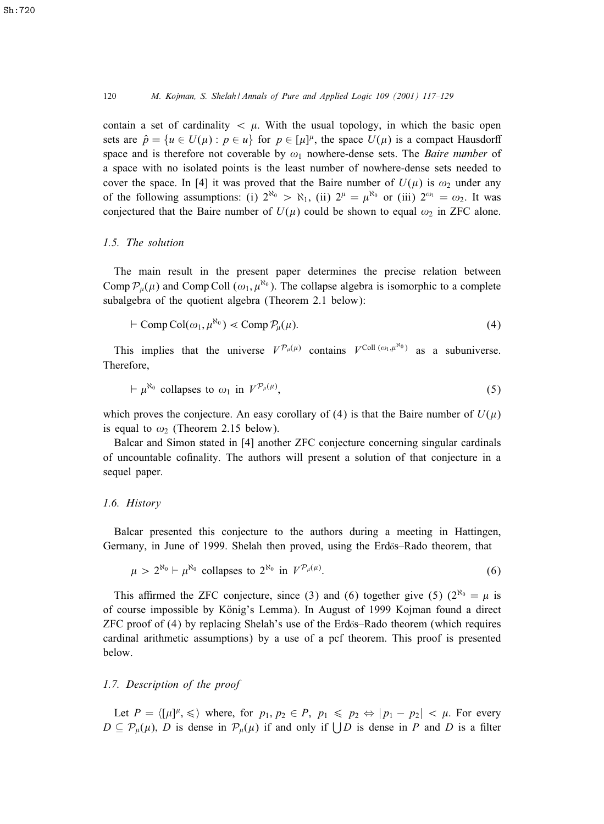#### 120 *M. Kojman, S. Shelah / Annals of Pure and Applied Logic 109 (2001) 117–129*

contain a set of cardinality  $\langle \mu \rangle$ . With the usual topology, in which the basic open sets are  $\hat{p} = \{u \in U(\mu) : p \in u\}$  for  $p \in [\mu]^{\mu}$ , the space  $U(\mu)$  is a compact Hausdorff space and is therefore not coverable by  $\omega_1$  nowhere-dense sets. The *Baire number* of a space with no isolated points is the least number of nowhere-dense sets needed to cover the space. In [4] it was proved that the Baire number of  $U(\mu)$  is  $\omega_2$  under any of the following assumptions: (i)  $2^{\aleph_0} > \aleph_1$ , (ii)  $2^{\mu} = \mu^{\aleph_0}$  or (iii)  $2^{\omega_1} = \omega_2$ . It was conjectured that the Baire number of  $U(\mu)$  could be shown to equal  $\omega_2$  in ZFC alone.

#### *1.5. The solution*

The main result in the present paper determines the precise relation between Comp  $\mathcal{P}_{\mu}(\mu)$  and Comp Coll  $(\omega_1, \mu^{\aleph_0})$ . The collapse algebra is isomorphic to a complete subalgebra of the quotient algebra (Theorem 2.1 below):

$$
\vdash \text{Comp Col}(\omega_1, \mu^{\aleph_0}) \ll \text{Comp } \mathcal{P}_{\mu}(\mu). \tag{4}
$$

This implies that the universe  $V^{p_\mu(\mu)}$  contains  $V^{\text{Coll}(\omega_1,\mu^{\text{N}_0})}$  as a subuniverse. Therefore,

$$
\vdash \mu^{\aleph_0} \text{ collapses to } \omega_1 \text{ in } V^{\mathcal{P}_\mu(\mu)}, \tag{5}
$$

which proves the conjecture. An easy corollary of (4) is that the Baire number of  $U(\mu)$ is equal to  $\omega_2$  (Theorem 2.15 below).

Balcar and Simon stated in [4] another ZFC conjecture concerning singular cardinals of uncountable cofinality. The authors will present a solution of that conjecture in a sequel paper.

#### *1.6. History*

Balcar presented this conjecture to the authors during a meeting in Hattingen, Germany, in June of 1999. Shelah then proved, using the Erdős–Rado theorem, that

$$
\mu > 2^{\aleph_0} \vdash \mu^{\aleph_0} \text{ collapses to } 2^{\aleph_0} \text{ in } V^{\mathcal{P}_\mu(\mu)}.
$$
\n
$$
(6)
$$

This affirmed the ZFC conjecture, since (3) and (6) together give (5) ( $2^{\aleph_0} = \mu$  is of course impossible by König's Lemma). In August of 1999 Kojman found a direct  $ZFC$  proof of  $(4)$  by replacing Shelah's use of the Erdős–Rado theorem (which requires cardinal arithmetic assumptions) by a use of a pcf theorem. This proof is presented below.

## *1.7. Description of the proof*

Let  $P = \langle [\mu]^{\mu}, \leq \rangle$  where, for  $p_1, p_2 \in P$ ,  $p_1 \leq p_2 \Leftrightarrow |p_1 - p_2| < \mu$ . For every  $D \subseteq \mathcal{P}_{\mu}(\mu)$ , D is dense in  $\mathcal{P}_{\mu}(\mu)$  if and only if  $\bigcup D$  is dense in P and D is a filter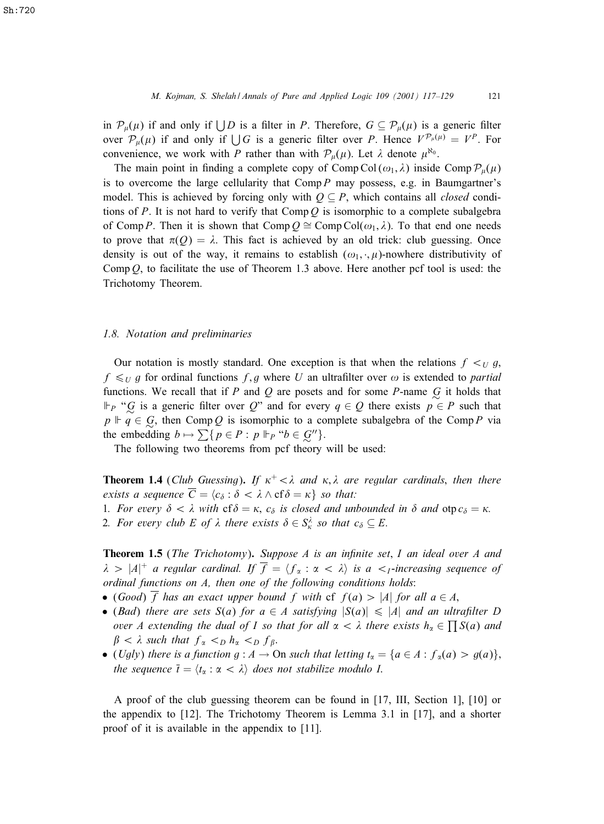in  $\mathcal{P}_{\mu}(\mu)$  if and only if  $\bigcup D$  is a filter in P. Therefore,  $G \subseteq \mathcal{P}_{\mu}(\mu)$  is a generic filter over  $\mathcal{P}_{\mu}(\mu)$  if and only if  $\bigcup G$  is a generic filter over P. Hence  $V^{\mathcal{P}_{\mu}(\mu)} = V^P$ . For convenience, we work with P rather than with  $\mathcal{P}_{\mu}(\mu)$ . Let  $\lambda$  denote  $\mu^{\aleph_0}$ .

The main point in finding a complete copy of Comp Col  $(\omega_1, \lambda)$  inside Comp  $\mathcal{P}_{\mu}(\mu)$ is to overcome the large cellularity that  $Comp P$  may possess, e.g. in Baumgartner's model. This is achieved by forcing only with  $Q \subseteq P$ , which contains all *closed* conditions of P. It is not hard to verify that Comp  $Q$  is isomorphic to a complete subalgebra of Comp P. Then it is shown that Comp  $O \cong \text{Comp } \text{Col}(\omega_1, \lambda)$ . To that end one needs to prove that  $\pi(Q) = \lambda$ . This fact is achieved by an old trick: club guessing. Once density is out of the way, it remains to establish  $(\omega_1, \cdot, \mu)$ -nowhere distributivity of Comp  $Q$ , to facilitate the use of Theorem 1.3 above. Here another pcf tool is used: the Trichotomy Theorem.

#### *1.8. Notation and preliminaries*

Our notation is mostly standard. One exception is that when the relations  $f \lt_U g$ ,  $f \leq_U g$  for ordinal functions f, g where U an ultrafilter over  $\omega$  is extended to *partial* functions. We recall that if P and Q are posets and for some P-name  $\overline{G}$  it holds that  $\Vdash_{P}$  " $\mathcal{G}$  is a generic filter over  $Q$ " and for every  $q \in Q$  there exists  $p \in P$  such that  $p \Vdash q \in G$ , then Comp Q is isomorphic to a complete subalgebra of the Comp P via the embedding  $b \mapsto \sum \{p \in P : p \Vdash_{P} \text{``} b \in \mathcal{G}''\}.$ 

The following two theorems from pcf theory will be used:

**Theorem 1.4** (*Club Guessing*). If  $\kappa^+ < \lambda$  and  $\kappa, \lambda$  are regular cardinals, then there *exists a sequence*  $C = \langle c_{\delta} : \delta < \lambda \wedge cf\delta = \kappa \}$  *so that:* 

- 1. For every  $\delta < \lambda$  with  $cf \delta = \kappa$ ,  $c_{\delta}$  is closed and unbounded in  $\delta$  and  $otp_{\delta} = \kappa$ .
- 2. For every club E of  $\lambda$  there exists  $\delta \in S_{\kappa}^{\lambda}$  so that  $c_{\delta} \subseteq E$ .

**Theorem 1.5** (*The Trichotomy*). *Suppose A is an infinite set*, I an ideal over A and  $\lambda > |A|^+$  a regular cardinal. If  $\overline{f} = \langle f_\alpha : \alpha < \lambda \rangle$  is a  $\langle I_1$ -increasing sequence of *ordinal functions on* A*, then one of the following conditions holds*:

- (*Good*)  $\overline{f}$  *has an exact upper bound*  $f$  *with* cf  $f(a) > |A|$  *for all*  $a \in A$ ,
- (*Bad*) there are sets  $S(a)$  for  $a \in A$  satisfying  $|S(a)| \leq |A|$  and an ultrafilter D *over* A extending the dual of I so that for all  $\alpha < \lambda$  there exists  $h_{\alpha} \in \prod S(a)$  and  $\beta < \lambda$  such that  $f_{\alpha} <_{D} h_{\alpha} <_{D} f_{\beta}$ .
- (*Ugly*) *there is a function g* :  $A \to On$  *such that letting*  $t_{\alpha} = \{a \in A : f_{\alpha}(a) > g(a)\}$ ; *the sequence*  $\bar{t} = \langle t_{\alpha} : \alpha < \lambda \rangle$  *does not stabilize modulo I.*

A proof of the club guessing theorem can be found in [17, III, Section 1], [10] or the appendix to [12]. The Trichotomy Theorem is Lemma 3.1 in [17], and a shorter proof of it is available in the appendix to [11].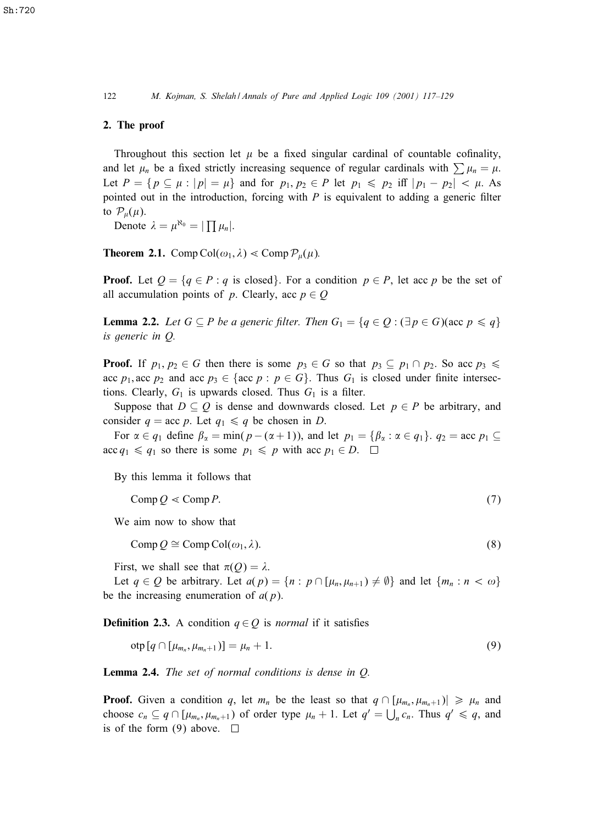#### 2. The proof

Throughout this section let  $\mu$  be a fixed singular cardinal of countable cofinality, and let  $\mu_n$  be a fixed strictly increasing sequence of regular cardinals with  $\sum \mu_n = \mu$ . Let  $P = \{p \subseteq \mu : |p| = \mu\}$  and for  $p_1, p_2 \in P$  let  $p_1 \leq p_2$  iff  $|p_1 - p_2| < \mu$ . As pointed out in the introduction, forcing with  $P$  is equivalent to adding a generic filter to  $\mathcal{P}_{\mu}(\mu)$ .

Denote  $\lambda = \mu^{\aleph_0} = |\prod \mu_n|.$ 

**Theorem 2.1.** Comp Col $(\omega_1, \lambda) <$  Comp  $\mathcal{P}_{\mu}(\mu)$ .

**Proof.** Let  $Q = \{q \in P : q \text{ is closed}\}\$ . For a condition  $p \in P$ , let acc p be the set of all accumulation points of p. Clearly, acc  $p \in Q$ 

**Lemma 2.2.** *Let*  $G \subseteq P$  *be a generic filter. Then*  $G_1 = \{q \in Q : (\exists p \in G)(\text{acc } p \leq q\})$ *is generic in* Q*.*

**Proof.** If  $p_1, p_2 \in G$  then there is some  $p_3 \in G$  so that  $p_3 \subseteq p_1 \cap p_2$ . So acc  $p_3 \leq$ acc  $p_1$ , acc  $p_2$  and acc  $p_3 \in \{ \text{acc } p : p \in G \}$ . Thus  $G_1$  is closed under finite intersections. Clearly,  $G_1$  is upwards closed. Thus  $G_1$  is a filter.

Suppose that  $D \subseteq Q$  is dense and downwards closed. Let  $p \in P$  be arbitrary, and consider  $q = \text{acc } p$ . Let  $q_1 \leq q$  be chosen in D.

For  $\alpha \in q_1$  define  $\beta_{\alpha} = \min(p - (\alpha + 1))$ , and let  $p_1 = \{\beta_{\alpha} : \alpha \in q_1\}$ .  $q_2 = \text{acc } p_1 \subseteq$  $\text{acc } q_1 \leq q_1 \text{ so there is some } p_1 \leq p \text{ with } \text{acc } p_1 \in D. \square$ 

By this lemma it follows that

$$
Comp Q \ll Comp P. \tag{7}
$$

We aim now to show that

 $Comp Q \cong Comp Col(\omega_1, \lambda).$  (8)

First, we shall see that  $\pi(Q) = \lambda$ .

Let  $q \in Q$  be arbitrary. Let  $a(p) = \{n : p \cap [\mu_n, \mu_{n+1}) \neq \emptyset\}$  and let  $\{m_n : n < \omega\}$ be the increasing enumeration of  $a(p)$ .

**Definition 2.3.** A condition  $q \in Q$  is *normal* if it satisfies

$$
otp[q \cap [\mu_{m_n}, \mu_{m_n+1})] = \mu_n + 1. \tag{9}
$$

Lemma 2.4. *The set of normal conditions is dense in* Q*.*

**Proof.** Given a condition q, let  $m_n$  be the least so that  $q \cap [\mu_{m_n}, \mu_{m_n+1}] \ge \mu_n$  and choose  $c_n \subseteq q \cap [\mu_{m_n}, \mu_{m_n+1})$  of order type  $\mu_n + 1$ . Let  $q' = \bigcup_n c_n$ . Thus  $q' \le q$ , and is of the form (9) above.  $\Box$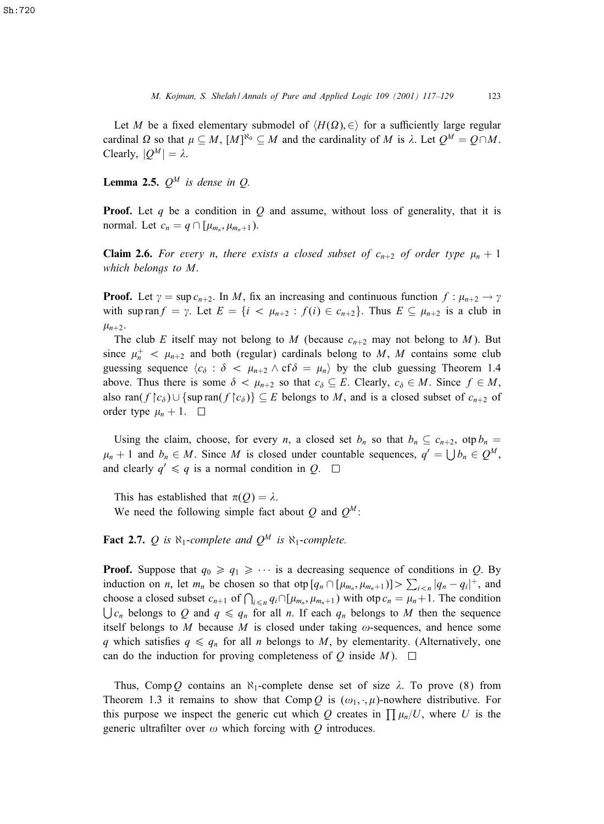Let M be a fixed elementary submodel of  $\langle H(\Omega), \in \rangle$  for a sufficiently large regular cardinal  $\Omega$  so that  $\mu \subseteq M$ ,  $[M]^{N_0} \subseteq M$  and the cardinality of M is  $\lambda$ . Let  $Q^M = Q \cap M$ . Clearly,  $|Q^M| = \lambda$ .

**Lemma 2.5.**  $Q^M$  *is dense in Q.* 

**Proof.** Let q be a condition in Q and assume, without loss of generality, that it is normal. Let  $c_n = q \cap [\mu_{m_n}, \mu_{m_n+1}).$ 

**Claim 2.6.** For every *n*, there exists a closed subset of  $c_{n+2}$  of order type  $\mu_n + 1$ *which belongs to* M*.*

**Proof.** Let  $\gamma = \sup c_{n+2}$ . In M, fix an increasing and continuous function  $f : \mu_{n+2} \to \gamma$ with sup ran  $f = \gamma$ . Let  $E = \{i \langle \mu_{n+2} : f(i) \in c_{n+2}\}\)$ . Thus  $E \subseteq \mu_{n+2}$  is a club in  $\mu_{n+2}$ .

The club E itself may not belong to M (because  $c_{n+2}$  may not belong to M). But since  $\mu_n^+$  <  $\mu_{n+2}$  and both (regular) cardinals belong to M, M contains some club guessing sequence  $\langle c_{\delta} : \delta \langle \mu_{n+2} \wedge \mathbf{cf} \delta \rangle = \mu_n \rangle$  by the club guessing Theorem 1.4 above. Thus there is some  $\delta < \mu_{n+2}$  so that  $c_{\delta} \subseteq E$ . Clearly,  $c_{\delta} \in M$ . Since  $f \in M$ , also ran(f |  $c_{\delta}$ ) ∪ {sup ran(f |  $c_{\delta}$ )}  $\subseteq$  E belongs to M, and is a closed subset of  $c_{n+2}$  of order type  $\mu_n + 1$ .

Using the claim, choose, for every *n*, a closed set  $b_n$  so that  $b_n \subseteq c_{n+2}$ , otp  $b_n =$  $\mu_n + 1$  and  $b_n \in M$ . Since M is closed under countable sequences,  $q' = \bigcup b_n \in Q^M$ , and clearly  $q' \leq q$  is a normal condition in  $Q$ .  $\Box$ 

This has established that  $\pi(Q) = \lambda$ .

We need the following simple fact about Q and  $Q^M$ :

**Fact 2.7.** Q is  $\aleph_1$ -complete and  $Q^M$  is  $\aleph_1$ -complete.

**Proof.** Suppose that  $q_0 \ge q_1 \ge \cdots$  is a decreasing sequence of conditions in Q. By induction on *n*, let  $m_n$  be chosen so that otp  $[q_n \cap [\mu_{m_n}, \mu_{m_n+1})] > \sum_{i \le n} |q_n - q_i|^+$ , and choose a closed subset  $c_{n+1}$  of  $\bigcap_{i \leq n} q_i \cap [\mu_{m_n}, \mu_{m_n+1})$  with otp  $c_n = \mu_n + 1$ . The condition  $\bigcup c_n$  belongs to Q and  $q \leq q_n$  for all n. If each  $q_n$  belongs to M then the sequence itself belongs to  $M$  because  $M$  is closed under taking  $\omega$ -sequences, and hence some q which satisfies  $q \leq q_n$  for all n belongs to M, by elementarity. (Alternatively, one can do the induction for proving completeness of Q inside  $M$ ).  $\square$ 

Thus, Comp Q contains an  $\aleph_1$ -complete dense set of size  $\lambda$ . To prove (8) from Theorem 1.3 it remains to show that Comp Q is  $(\omega_1, \cdot, \mu)$ -nowhere distributive. For this purpose we inspect the generic cut which Q creates in  $\prod \mu_n/U$ , where U is the generic ultrafilter over  $\omega$  which forcing with Q introduces.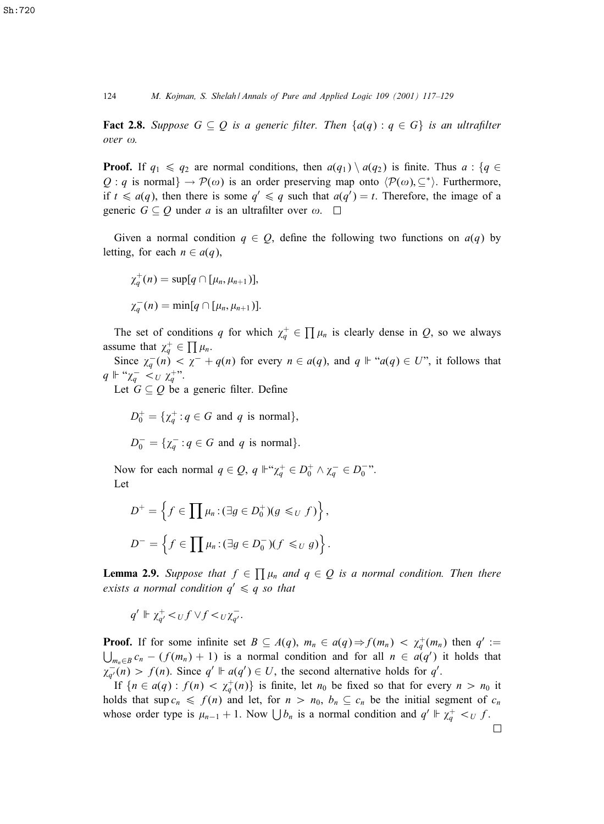124 *M. Kojman, S. Shelah / Annals of Pure and Applied Logic 109 (2001) 117–129*

**Fact 2.8.** Suppose  $G \subseteq Q$  is a generic filter. Then  $\{a(q) : q \in G\}$  is an ultrafilter  $over \omega$ .

**Proof.** If  $q_1 \leq q_2$  are normal conditions, then  $a(q_1) \setminus a(q_2)$  is finite. Thus  $a : \{q \in \mathbb{R}^n : |q_1| \leq q_2 \}$ Q : q is normal  $\rightarrow$   $\mathcal{P}(\omega)$  is an order preserving map onto  $\langle \mathcal{P}(\omega), \subseteq^* \rangle$ . Furthermore, if  $t \le a(q)$ , then there is some  $q' \le q$  such that  $a(q') = t$ . Therefore, the image of a generic  $G \subseteq Q$  under a is an ultrafilter over  $\omega$ .  $\Box$ 

Given a normal condition  $q \in Q$ , define the following two functions on  $a(q)$  by letting, for each  $n \in a(q)$ ,

$$
\chi_q^+(n) = \sup[q \cap [\mu_n, \mu_{n+1})],
$$
  

$$
\chi_q^-(n) = \min[q \cap [\mu_n, \mu_{n+1})].
$$

The set of conditions q for which  $\chi_q^+ \in \prod \mu_n$  is clearly dense in Q, so we always assume that  $\chi_q^+ \in \prod \mu_n$ .

Since  $\chi_q^-(n) < \chi^- + q(n)$  for every  $n \in a(q)$ , and  $q \Vdash "a(q) \in U$ ", it follows that  $q \Vdash ``\chi_q^- <_U \chi_q^{+\gamma}$ .

Let  $G \subseteq Q$  be a generic filter. Define

$$
D_0^+ = \{ \chi_q^+ : q \in G \text{ and } q \text{ is normal} \},
$$
  

$$
D_0^- = \{ \chi_q^- : q \in G \text{ and } q \text{ is normal} \}.
$$

Now for each normal  $q \in \mathcal{Q}$ ,  $q \Vdash \mathcal{X}_q^+ \in D_0^+ \wedge \chi_q^- \in D_0^-$ ". Let

$$
D^{+} = \left\{ f \in \prod \mu_n : (\exists g \in D_0^{+})(g \leq_U f) \right\},\
$$
  

$$
D^{-} = \left\{ f \in \prod \mu_n : (\exists g \in D_0^{-})(f \leq_U g) \right\}.
$$

**Lemma 2.9.** Suppose that  $f \in \prod \mu_n$  and  $q \in Q$  is a normal condition. Then there *exists a normal condition*  $q' \n\leq q$  *so that* 

 $q' \Vdash \chi_{q'}^+ \lt_{U} f \vee f \lt_{U} \chi_{q'}^-$ .

**Proof.** If for some infinite set  $B \subseteq A(q)$ ,  $m_n \in a(q) \Rightarrow f(m_n) < \chi_q^+(m_n)$  then  $q' :=$  $\bigcup_{m_n\in B} c_n - (f(m_n) + 1)$  is a normal condition and for all  $n \in a(q')$  it holds that  $\chi_{q'}^-(n) > f(n)$ . Since  $q' \Vdash a(q') \in U$ , the second alternative holds for q'.

If  ${n \in a(q) : f(n) < \chi_q^+(n)}$  is finite, let  $n_0$  be fixed so that for every  $n > n_0$  it holds that sup  $c_n \leq f(n)$  and let, for  $n > n_0$ ,  $b_n \subseteq c_n$  be the initial segment of  $c_n$ whose order type is  $\mu_{n-1} + 1$ . Now  $\bigcup b_n$  is a normal condition and  $q' \Vdash \chi_q^+ \prec_U f$ .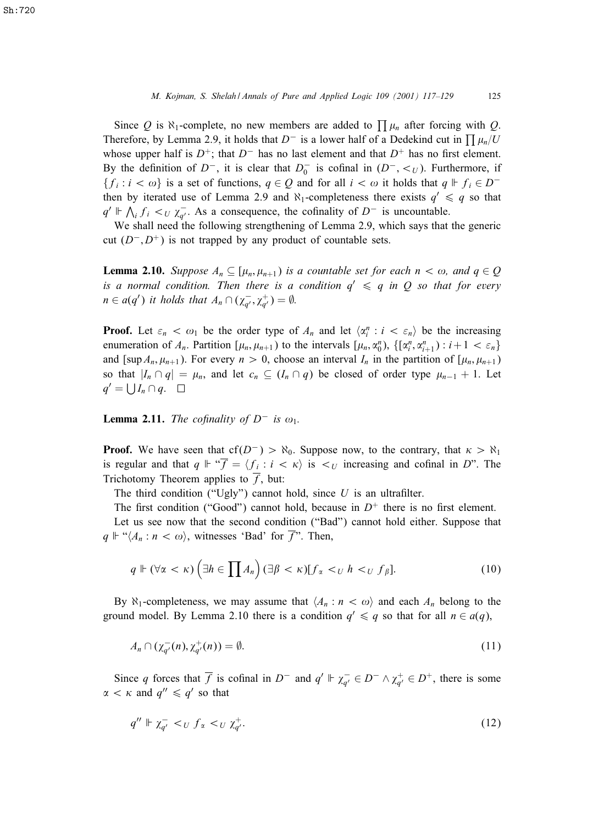Since Q is  $\aleph_1$ -complete, no new members are added to  $\prod \mu_n$  after forcing with Q. Therefore, by Lemma 2.9, it holds that  $D^-$  is a lower half of a Dedekind cut in  $\prod \mu_n/U$ whose upper half is  $D^+$ ; that  $D^-$  has no last element and that  $D^+$  has no first element. By the definition of  $D^-$ , it is clear that  $D_0^-$  is cofinal in  $(D^-, \lt_U)$ . Furthermore, if  ${f_i : i < \omega}$  is a set of functions,  $q \in Q$  and for all  $i < \omega$  it holds that  $q \Vdash f_i \in D^$ then by iterated use of Lemma 2.9 and  $\aleph_1$ -completeness there exists  $q' \leq q$  so that  $q' \Vdash \bigwedge_i f_i <_U \chi_{q'}^{-1}$ . As a consequence, the cofinality of D<sup>−</sup> is uncountable.

We shall need the following strengthening of Lemma 2.9, which says that the generic cut  $(D^-, D^+)$  is not trapped by any product of countable sets.

**Lemma 2.10.** *Suppose*  $A_n \subseteq [\mu_n, \mu_{n+1})$  *is a countable set for each*  $n < \omega$ *, and*  $q \in Q$ *is a normal condition. Then there is a condition*  $q' \leq q$  *in* Q *so that for every*  $n \in a(q')$  it holds that  $A_n \cap (\chi_{q'}^-, \chi_{q'}^+) = \emptyset$ .

**Proof.** Let  $\varepsilon_n < \omega_1$  be the order type of  $A_n$  and let  $\langle \alpha_i^n : i < \varepsilon_n \rangle$  be the increasing enumeration of  $A_n$ . Partition  $[\mu_n, \mu_{n+1})$  to the intervals  $[\mu_n, \alpha_0^n)$ ,  $\{[\alpha_i^n, \alpha_{i+1}^n) : i+1 < \varepsilon_n\}$ and [sup  $A_n$ ,  $\mu_{n+1}$ ). For every  $n > 0$ , choose an interval  $I_n$  in the partition of [ $\mu_n$ ,  $\mu_{n+1}$ ) so that  $|I_n \cap q| = \mu_n$ , and let  $c_n \subseteq (I_n \cap q)$  be closed of order type  $\mu_{n-1} + 1$ . Let  $q' = \bigcup I_n \cap q.$ 

**Lemma 2.11.** *The cofinality of*  $D^-$  *is*  $\omega_1$ *.* 

**Proof.** We have seen that  $cf(D^-) > \aleph_0$ . Suppose now, to the contrary, that  $\kappa > \aleph_1$ is regular and that  $q \Vdash \mathcal{F} = \langle f_i : i < \kappa \rangle$  is  $\langle U_i \rangle$  increasing and cofinal in D". The Trichotomy Theorem applies to  $\overline{f}$ , but:

The third condition ("Ugly") cannot hold, since  $U$  is an ultrafilter.

The first condition ("Good") cannot hold, because in  $D^+$  there is no first element.

Let us see now that the second condition ("Bad") cannot hold either. Suppose that  $q \Vdash ``\langle A_n : n \langle \omega \rangle$ , witnesses 'Bad' for  $\overline{f}$ ". Then,

$$
q \Vdash (\forall \alpha < \kappa) \left( \exists h \in \prod A_n \right) (\exists \beta < \kappa) [f_\alpha <_U h <_U f_\beta]. \tag{10}
$$

By  $\aleph_1$ -completeness, we may assume that  $\langle A_n : n \langle \omega \rangle$  and each  $A_n$  belong to the ground model. By Lemma 2.10 there is a condition  $q' \leq q$  so that for all  $n \in a(q)$ ,

$$
A_n \cap (\chi_{q'}^-(n), \chi_{q'}^+(n)) = \emptyset. \tag{11}
$$

Since q forces that  $\overline{f}$  is cofinal in  $D^-$  and  $q' \Vdash \chi_{q'}^- \in D^- \wedge \chi_{q'}^+ \in D^+$ , there is some  $\alpha < \kappa$  and  $q'' \leq q'$  so that

$$
q'' \Vdash \chi_{q'}^- < U f_\alpha < U \chi_{q'}^+ \tag{12}
$$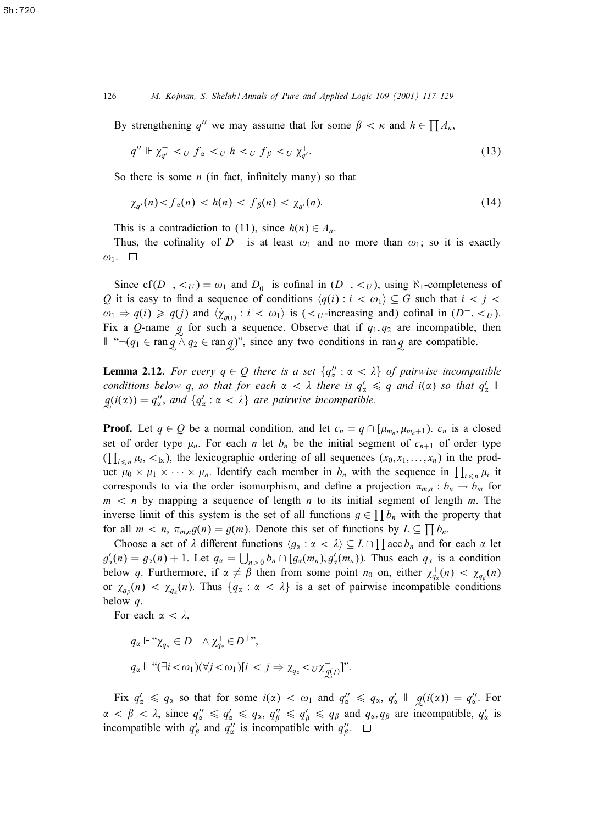126 *M. Kojman, S. Shelah / Annals of Pure and Applied Logic 109 (2001) 117–129*

By strengthening q'' we may assume that for some  $\beta < \kappa$  and  $h \in \prod A_n$ ,

$$
q'' \Vdash \chi_{q'}^- < U \ f_\alpha < U \ h < U \ f_\beta < U \ \chi_{q'}^+ \tag{13}
$$

So there is some  $n$  (in fact, infinitely many) so that

$$
\chi_{q'}^-(n) < f_\alpha(n) < h(n) < f_\beta(n) < \chi_{q'}^+(n). \tag{14}
$$

This is a contradiction to (11), since  $h(n) \in A_n$ .

Thus, the cofinality of  $D^-$  is at least  $\omega_1$  and no more than  $\omega_1$ ; so it is exactly  $\omega_1$ .  $\Box$ 

Since  $cf(D^-, <_U) = \omega_1$  and  $D_0^-$  is cofinal in  $(D^-, <_U)$ , using  $\aleph_1$ -completeness of Q it is easy to find a sequence of conditions  $\langle q(i) : i < \omega_1 \rangle \subseteq G$  such that  $i < j <$  $\omega_1 \Rightarrow q(i) \geq q(j)$  and  $\langle \chi_{q(i)}^- : i < \omega_1 \rangle$  is  $(\langle \chi_{U}^-$ -increasing and) cofinal in  $(D^-, \langle U \rangle)$ . Fix a Q-name  $q$  for such a sequence. Observe that if  $q_1, q_2$  are incompatible, then  $\mathbb{F}$  "¬( $q_1 \in \text{ran } q \wedge q_2 \in \text{ran } q$ )", since any two conditions in ran $q$  are compatible.

**Lemma 2.12.** For every  $q \in Q$  there is a set  $\{q''_{\alpha} : \alpha < \lambda\}$  of pairwise incompatible *conditions below q, so that for each*  $\alpha < \lambda$  there is  $q'_\alpha \leq q$  and i( $\alpha$ ) so that  $q'_\alpha \Vdash$  $q(i(\alpha)) = q''_{\alpha}$ , and  $\{q'_{\alpha} : \alpha < \lambda\}$  are pairwise incompatible.

**Proof.** Let  $q \in Q$  be a normal condition, and let  $c_n = q \cap [\mu_{m_n}, \mu_{m_n+1})$ .  $c_n$  is a closed set of order type  $\mu_n$ . For each n let  $b_n$  be the initial segment of  $c_{n+1}$  of order type  $(\prod_{i \leq n} \mu_i, \leq k)$ , the lexicographic ordering of all sequences  $(x_0, x_1, \ldots, x_n)$  in the product  $\mu_0 \times \mu_1 \times \cdots \times \mu_n$ . Identify each member in  $b_n$  with the sequence in  $\prod_{i \leq n} \mu_i$  it corresponds to via the order isomorphism, and define a projection  $\pi_{m,n} : b_n \to b_m$  for  $m \lt n$  by mapping a sequence of length n to its initial segment of length m. The inverse limit of this system is the set of all functions  $g \in \prod b_n$  with the property that for all  $m < n$ ,  $\pi_{m,n}g(n) = g(m)$ . Denote this set of functions by  $L \subseteq \prod b_n$ .

Choose a set of  $\lambda$  different functions  $\langle g_\alpha : \alpha < \lambda \rangle \subseteq L \cap \prod \alpha c c b_n$  and for each  $\alpha$  let  $g'_\alpha(n) = g_\alpha(n) + 1$ . Let  $q_\alpha = \bigcup_{n>0} b_n \cap [g_\alpha(m_n), g'_\alpha(m_n))$ . Thus each  $q_\alpha$  is a condition below q. Furthermore, if  $\alpha \neq \beta$  then from some point  $n_0$  on, either  $\chi^+_{q_2}(n) < \chi^-_{q_2}(n)$ or  $\chi^+_{q_\beta}(n) < \chi^-_{q_\alpha}(n)$ . Thus  $\{q_\alpha : \alpha < \lambda\}$  is a set of pairwise incompatible conditions below q.

For each  $\alpha < \lambda$ ,

$$
q_{\alpha} \Vdash \text{``}\chi_{q_{\alpha}}^{-} \in D^{-} \wedge \chi_{q_{\alpha}}^{+} \in D^{+} \text{''},
$$
  

$$
q_{\alpha} \Vdash \text{``}(\exists i < \omega_{1})(\forall j < \omega_{1})[i < j \Rightarrow \chi_{q_{\alpha}}^{-} < \text{U}\chi_{q(j)}^{-}].
$$

Fix  $q'_\alpha \leq q_\alpha$  so that for some  $i(\alpha) < \omega_1$  and  $q''_\alpha \leq q_\alpha$ ,  $q'_\alpha \Vdash g(i(\alpha)) = q''_\alpha$ . For  $\alpha < \beta < \lambda$ , since  $q''_{\alpha} \leq q'_{\alpha} \leq q_{\alpha}$ ,  $q''_{\beta} \leq q'_{\beta} \leq q_{\beta}$  and  $q_{\alpha}, q_{\beta}$  are incompatible,  $q'_{\alpha}$  is incompatible with  $q'_{\beta}$  and  $q''_{\alpha}$  is incompatible with  $q''_{\beta}$ .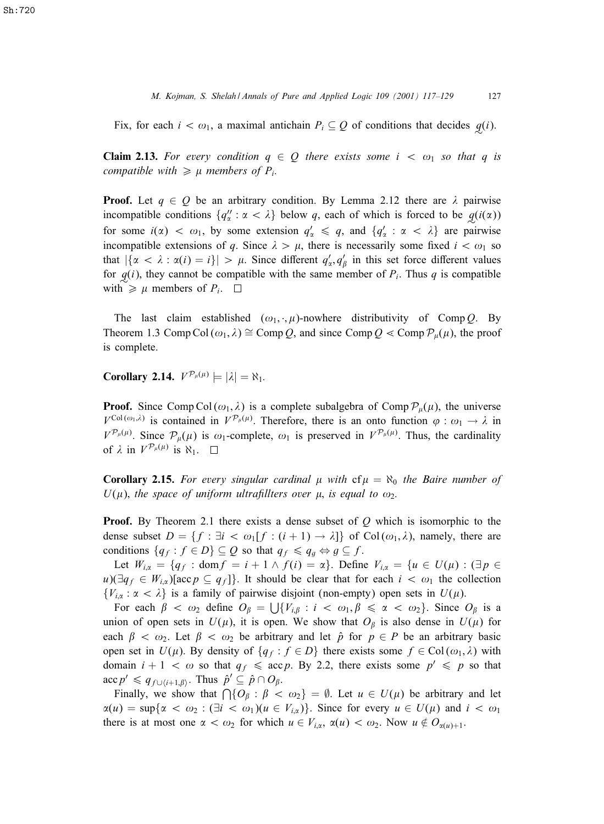*M. Kojman, S. Shelah / Annals of Pure and Applied Logic 109 (2001) 117–129* 127

Fix, for each  $i < \omega_1$ , a maximal antichain  $P_i \subseteq Q$  of conditions that decides  $q(i)$ .

**Claim 2.13.** For every condition  $q \in Q$  there exists some  $i < \omega_1$  so that q is *compatible with*  $\geq \mu$  *members of*  $P_i$ *.* 

**Proof.** Let  $q \in Q$  be an arbitrary condition. By Lemma 2.12 there are  $\lambda$  pairwise incompatible conditions  $\{q''_x : \alpha < \lambda\}$  below q, each of which is forced to be  $q(i(\alpha))$ for some  $i(\alpha) < \omega_1$ , by some extension  $q'_\alpha \le q$ , and  $\{q'_\alpha : \alpha < \lambda\}$  are pairwise incompatible extensions of q. Since  $\lambda > \mu$ , there is necessarily some fixed  $i < \omega_1$  so that  $|\{\alpha < \lambda : \alpha(i) = i\}| > \mu$ . Since different  $q'_\alpha, q'_\beta$  in this set force different values for  $q(i)$ , they cannot be compatible with the same member of  $P_i$ . Thus q is compatible with  $\geq \mu$  members of  $P_i$ .

The last claim established  $(\omega_1, \cdot, \mu)$ -nowhere distributivity of Comp Q. By Theorem 1.3 Comp Col  $(\omega_1, \lambda) \cong \text{Comp } Q$ , and since Comp  $Q \ll \text{Comp } \mathcal{P}_\mu(\mu)$ , the proof is complete.

**Corollary 2.14.**  $V^{\mathcal{P}_{\mu}(\mu)} \models |\lambda| = \aleph_1$ .

**Proof.** Since Comp Col $(\omega_1, \lambda)$  is a complete subalgebra of Comp  $\mathcal{P}_{\mu}(\mu)$ , the universe  $V^{\text{Col}(\omega_1,\lambda)}$  is contained in  $V^{\mathcal{P}_\mu(\mu)}$ . Therefore, there is an onto function  $\varphi : \omega_1 \to \lambda$  in  $V^{\mathcal{P}_\mu(\mu)}$ . Since  $\mathcal{P}_\mu(\mu)$  is  $\omega_1$ -complete,  $\omega_1$  is preserved in  $V^{\mathcal{P}_\mu(\mu)}$ . Thus, the cardinality of  $\lambda$  in  $V^{\mathcal{P}_\mu(\mu)}$  is  $\aleph_1$ .

**Corollary 2.15.** For every singular cardinal  $\mu$  with  $cf \mu = \aleph_0$  the Baire number of  $U(\mu)$ , the space of uniform ultrafillters over  $\mu$ , is equal to  $\omega_2$ .

**Proof.** By Theorem 2.1 there exists a dense subset of  $O$  which is isomorphic to the dense subset  $D = \{f : \exists i < \omega_1[f : (i + 1) \rightarrow \lambda]\}$  of Col $(\omega_1, \lambda)$ , namely, there are conditions  $\{q_f : f \in D\} \subseteq Q$  so that  $q_f \leq q_g \Leftrightarrow g \subseteq f$ .

Let  $W_{i,\alpha} = \{q_f : \text{dom} f = i + 1 \wedge f(i) = \alpha\}$ . Define  $V_{i,\alpha} = \{u \in U(\mu) : (\exists p \in$  $u$ )( $\exists q_f \in W_{i,\alpha}$ )[acc $p \subseteq q_f$ ]}. It should be clear that for each  $i < \omega_1$  the collection  $\{V_{i,\alpha} : \alpha < \lambda\}$  is a family of pairwise disjoint (non-empty) open sets in  $U(\mu)$ .

For each  $\beta < \omega_2$  define  $O_\beta = \bigcup \{V_{i,\beta} : i < \omega_1, \beta \leq \alpha < \omega_2\}$ . Since  $O_\beta$  is a union of open sets in  $U(\mu)$ , it is open. We show that  $O_\beta$  is also dense in  $U(\mu)$  for each  $\beta < \omega_2$ . Let  $\beta < \omega_2$  be arbitrary and let  $\hat{p}$  for  $p \in P$  be an arbitrary basic open set in  $U(\mu)$ . By density of  $\{q_f : f \in D\}$  there exists some  $f \in Col(\omega_1, \lambda)$  with domain  $i + 1 < \omega$  so that  $q_f \leq acp$ . By 2.2, there exists some  $p' \leq p$  so that  $\mathrm{acc}\, p' \leqslant q_{f\cup \{i+1,\beta\}}$ . Thus  $\hat{p}' \subseteq \hat{p} \cap O_{\beta}$ .

Finally, we show that  $\bigcap \{O_\beta : \beta < \omega_2\} = \emptyset$ . Let  $u \in U(\mu)$  be arbitrary and let  $\alpha(u) = \sup\{\alpha < \omega_2 : (\exists i < \omega_1)(u \in V_{i,\alpha})\}\.$  Since for every  $u \in U(\mu)$  and  $i < \omega_1$ there is at most one  $\alpha < \omega_2$  for which  $u \in V_{i,\alpha}$ ,  $\alpha(u) < \omega_2$ . Now  $u \notin O_{\alpha(u)+1}$ .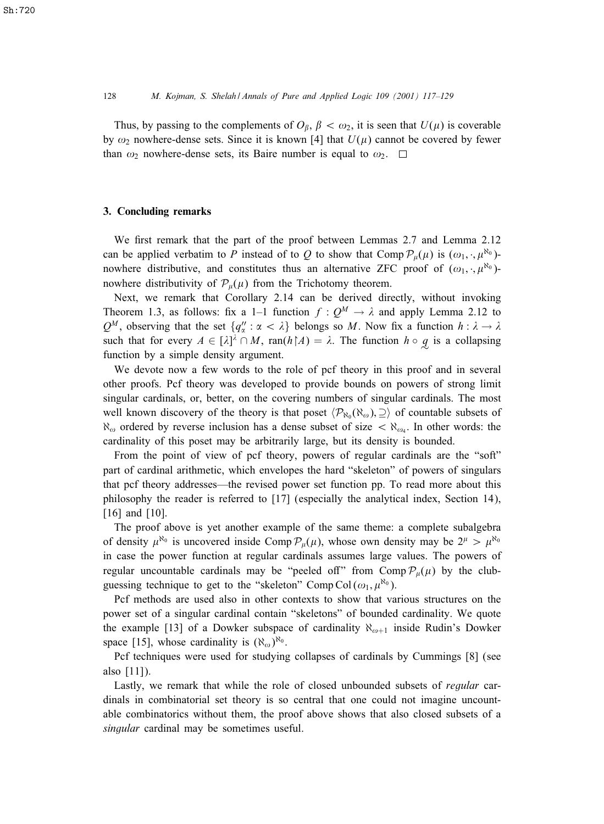Thus, by passing to the complements of  $O_\beta$ ,  $\beta < \omega_2$ , it is seen that  $U(\mu)$  is coverable by  $\omega_2$  nowhere-dense sets. Since it is known [4] that  $U(\mu)$  cannot be covered by fewer than  $\omega_2$  nowhere-dense sets, its Baire number is equal to  $\omega_2$ .  $\square$ 

## 3. Concluding remarks

We first remark that the part of the proof between Lemmas  $2.7$  and Lemma  $2.12$ can be applied verbatim to P instead of to Q to show that Comp  $\mathcal{P}_{\mu}(\mu)$  is  $(\omega_1, \cdot, \mu^{\aleph_0})$ nowhere distributive, and constitutes thus an alternative ZFC proof of  $(\omega_1, \cdot, \mu^{\aleph_0})$ nowhere distributivity of  $P_{\mu}(\mu)$  from the Trichotomy theorem.

Next, we remark that Corollary 2.14 can be derived directly, without invoking Theorem 1.3, as follows: fix a 1–1 function  $f : Q^M \to \lambda$  and apply Lemma 2.12 to  $Q^M$ , observing that the set  $\{q''_\alpha : \alpha < \lambda\}$  belongs so M. Now fix a function  $h : \lambda \to \lambda$ such that for every  $A \in [\lambda]^{\lambda} \cap M$ , ran( $h \nmid A$ ) =  $\lambda$ . The function  $h \circ q$  is a collapsing function by a simple density argument.

We devote now a few words to the role of pcf theory in this proof and in several other proofs. Pcf theory was developed to provide bounds on powers of strong limit singular cardinals, or, better, on the covering numbers of singular cardinals. The most well known discovery of the theory is that poset  $\langle \mathcal{P}_{\aleph_0}(\aleph_\omega), \supseteq \rangle$  of countable subsets of  $\aleph_{\omega}$  ordered by reverse inclusion has a dense subset of size  $\lt \aleph_{\omega_4}$ . In other words: the cardinality of this poset may be arbitrarily large, but its density is bounded.

From the point of view of pcf theory, powers of regular cardinals are the "soft" part of cardinal arithmetic, which envelopes the hard "skeleton" of powers of singulars that pcf theory addresses—the revised power set function pp. To read more about this philosophy the reader is referred to [17] (especially the analytical index, Section 14), [16] and [10].

The proof above is yet another example of the same theme: a complete subalgebra of density  $\mu^{\aleph_0}$  is uncovered inside Comp  $\mathcal{P}_\mu(\mu)$ , whose own density may be  $2^\mu > \mu^{\aleph_0}$ in case the power function at regular cardinals assumes large values. The powers of regular uncountable cardinals may be "peeled off" from Comp  $\mathcal{P}_{\mu}(\mu)$  by the clubguessing technique to get to the "skeleton" Comp Col $(\omega_1, \mu^{\aleph_0})$ .

Pcf methods are used also in other contexts to show that various structures on the power set of a singular cardinal contain "skeletons" of bounded cardinality. We quote the example [13] of a Dowker subspace of cardinality  $\aleph_{\omega+1}$  inside Rudin's Dowker space [15], whose cardinality is  $(\aleph_{\omega})^{\aleph_0}$ .

Pcf techniques were used for studying collapses of cardinals by Cummings [8] (see also [11]).

Lastly, we remark that while the role of closed unbounded subsets of *regular* cardinals in combinatorial set theory is so central that one could not imagine uncountable combinatorics without them, the proof above shows that also closed subsets of a *singular* cardinal may be sometimes useful.